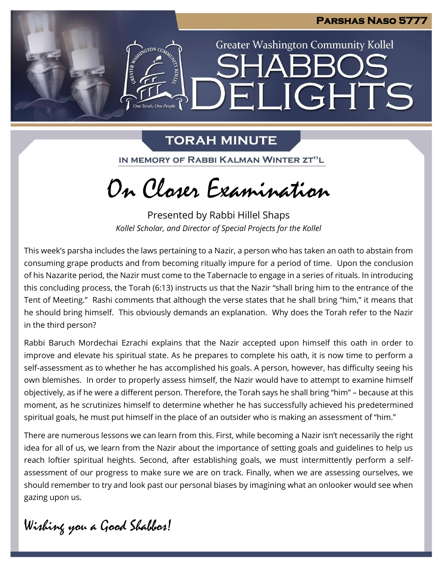

**Greater Washington Community Kollel** 

ELIGHTS

# **TORAH MINUTE**

**ANTER AND ROAD CO.** 

One Torah. One People

IN MEMORY OF RABBI KALMAN WINTER ZT"L

# On Closer Examination

Presented by Rabbi Hillel Shaps *Kollel Scholar, and Director of Special Projects for the Kollel*

This week's parsha includes the laws pertaining to a Nazir, a person who has taken an oath to abstain from consuming grape products and from becoming ritually impure for a period of time. Upon the conclusion of his Nazarite period, the Nazir must come to the Tabernacle to engage in a series of rituals. In introducing this concluding process, the Torah (6:13) instructs us that the Nazir "shall bring him to the entrance of the Tent of Meeting." Rashi comments that although the verse states that he shall bring "him," it means that he should bring himself. This obviously demands an explanation. Why does the Torah refer to the Nazir in the third person?

Rabbi Baruch Mordechai Ezrachi explains that the Nazir accepted upon himself this oath in order to improve and elevate his spiritual state. As he prepares to complete his oath, it is now time to perform a self-assessment as to whether he has accomplished his goals. A person, however, has difficulty seeing his own blemishes. In order to properly assess himself, the Nazir would have to attempt to examine himself objectively, as if he were a different person. Therefore, the Torah says he shall bring "him" – because at this moment, as he scrutinizes himself to determine whether he has successfully achieved his predetermined spiritual goals, he must put himself in the place of an outsider who is making an assessment of "him."

There are numerous lessons we can learn from this. First, while becoming a Nazir isn't necessarily the right idea for all of us, we learn from the Nazir about the importance of setting goals and guidelines to help us reach loftier spiritual heights. Second, after establishing goals, we must intermittently perform a selfassessment of our progress to make sure we are on track. Finally, when we are assessing ourselves, we should remember to try and look past our personal biases by imagining what an onlooker would see when gazing upon us.

Wishing you a Good Shabbos!